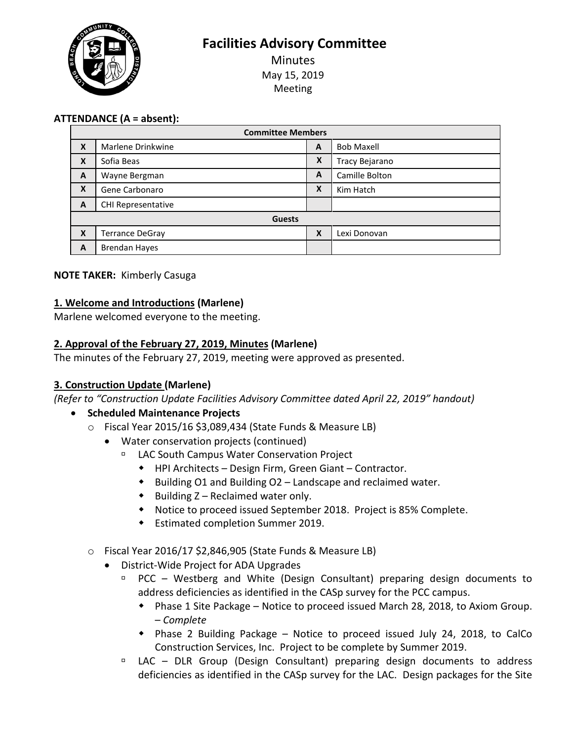**Facilities Advisory Committee**

Minutes May 15, 2019 Meeting

## **ATTENDANCE (A = absent):**

| <b>Committee Members</b> |                        |   |                   |
|--------------------------|------------------------|---|-------------------|
| X                        | Marlene Drinkwine      | A | <b>Bob Maxell</b> |
| X                        | Sofia Beas             | X | Tracy Bejarano    |
| A                        | Wayne Bergman          | A | Camille Bolton    |
| X                        | Gene Carbonaro         | Χ | Kim Hatch         |
| A                        | CHI Representative     |   |                   |
| <b>Guests</b>            |                        |   |                   |
| X                        | <b>Terrance DeGray</b> | X | Lexi Donovan      |
| A                        | <b>Brendan Hayes</b>   |   |                   |

### **NOTE TAKER:** Kimberly Casuga

### **1. Welcome and Introductions (Marlene)**

Marlene welcomed everyone to the meeting.

### **2. Approval of the February 27, 2019, Minutes (Marlene)**

The minutes of the February 27, 2019, meeting were approved as presented.

### **3. Construction Update (Marlene)**

*(Refer to "Construction Update Facilities Advisory Committee dated April 22, 2019" handout)*

### • **Scheduled Maintenance Projects**

- o Fiscal Year 2015/16 \$3,089,434 (State Funds & Measure LB)
	- Water conservation projects (continued)
		- LAC South Campus Water Conservation Project
			- HPI Architects Design Firm, Green Giant Contractor.
			- $\bullet$  Building O1 and Building O2 Landscape and reclaimed water.
			- $\bullet$  Building Z Reclaimed water only.
			- Notice to proceed issued September 2018. Project is 85% Complete.
			- Estimated completion Summer 2019.
- o Fiscal Year 2016/17 \$2,846,905 (State Funds & Measure LB)
	- District-Wide Project for ADA Upgrades
		- PCC Westberg and White (Design Consultant) preparing design documents to address deficiencies as identified in the CASp survey for the PCC campus.
			- Phase 1 Site Package Notice to proceed issued March 28, 2018, to Axiom Group. – *Complete*
			- Phase 2 Building Package Notice to proceed issued July 24, 2018, to CalCo Construction Services, Inc. Project to be complete by Summer 2019.
		- LAC DLR Group (Design Consultant) preparing design documents to address deficiencies as identified in the CASp survey for the LAC. Design packages for the Site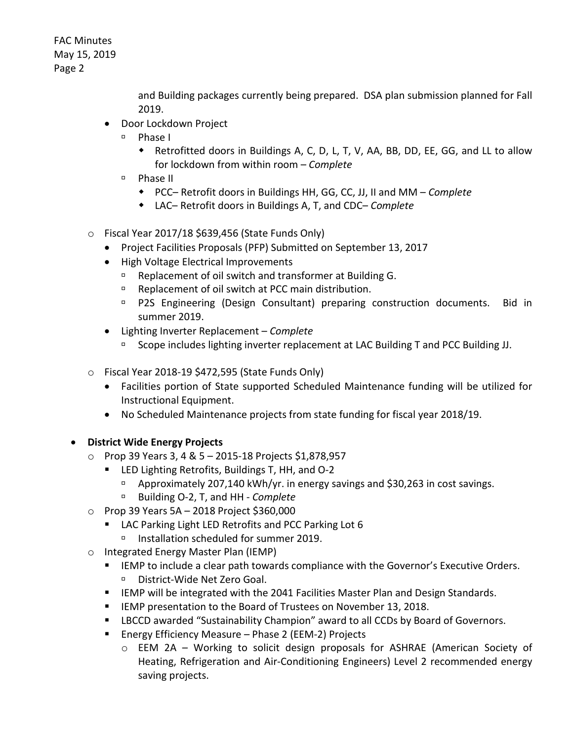> and Building packages currently being prepared. DSA plan submission planned for Fall 2019.

- Door Lockdown Project
	- Phase I
		- Retrofitted doors in Buildings A, C, D, L, T, V, AA, BB, DD, EE, GG, and LL to allow for lockdown from within room – *Complete*
	- Phase II
		- PCC– Retrofit doors in Buildings HH, GG, CC, JJ, II and MM *Complete*
		- LAC– Retrofit doors in Buildings A, T, and CDC– *Complete*
- o Fiscal Year 2017/18 \$639,456 (State Funds Only)
	- Project Facilities Proposals (PFP) Submitted on September 13, 2017
	- High Voltage Electrical Improvements
		- Replacement of oil switch and transformer at Building G.
		- □ Replacement of oil switch at PCC main distribution.
		- P2S Engineering (Design Consultant) preparing construction documents. Bid in summer 2019.
	- Lighting Inverter Replacement *Complete* 
		- □ Scope includes lighting inverter replacement at LAC Building T and PCC Building JJ.
- o Fiscal Year 2018-19 \$472,595 (State Funds Only)
	- Facilities portion of State supported Scheduled Maintenance funding will be utilized for Instructional Equipment.
	- No Scheduled Maintenance projects from state funding for fiscal year 2018/19.
- **District Wide Energy Projects**
	- o Prop 39 Years 3, 4 & 5 2015-18 Projects \$1,878,957
		- LED Lighting Retrofits, Buildings T, HH, and O-2
			- □ Approximately 207,140 kWh/yr. in energy savings and \$30,263 in cost savings.
			- Building O-2, T, and HH *Complete*
	- $\circ$  Prop 39 Years 5A 2018 Project \$360,000
		- **LAC Parking Light LED Retrofits and PCC Parking Lot 6** □ Installation scheduled for summer 2019.
	- o Integrated Energy Master Plan (IEMP)
		- **IFMP to include a clear path towards compliance with the Governor's Executive Orders.** District-Wide Net Zero Goal.
		- IEMP will be integrated with the 2041 Facilities Master Plan and Design Standards.
		- **EMP** presentation to the Board of Trustees on November 13, 2018.
		- LBCCD awarded "Sustainability Champion" award to all CCDs by Board of Governors.
		- Energy Efficiency Measure Phase 2 (EEM-2) Projects
			- o EEM 2A Working to solicit design proposals for ASHRAE (American Society of Heating, Refrigeration and Air-Conditioning Engineers) Level 2 recommended energy saving projects.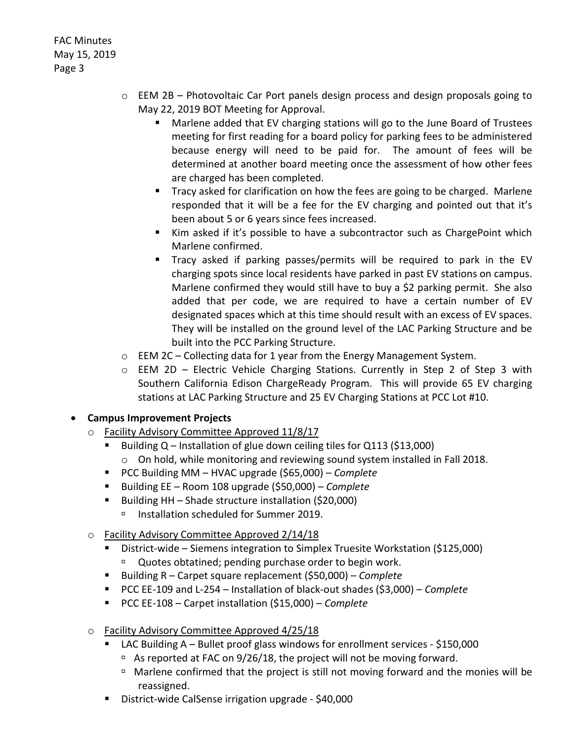- o EEM 2B Photovoltaic Car Port panels design process and design proposals going to May 22, 2019 BOT Meeting for Approval.
	- Marlene added that EV charging stations will go to the June Board of Trustees meeting for first reading for a board policy for parking fees to be administered because energy will need to be paid for. The amount of fees will be determined at another board meeting once the assessment of how other fees are charged has been completed.
	- Tracy asked for clarification on how the fees are going to be charged. Marlene responded that it will be a fee for the EV charging and pointed out that it's been about 5 or 6 years since fees increased.
	- Kim asked if it's possible to have a subcontractor such as ChargePoint which Marlene confirmed.
	- Tracy asked if parking passes/permits will be required to park in the EV charging spots since local residents have parked in past EV stations on campus. Marlene confirmed they would still have to buy a \$2 parking permit. She also added that per code, we are required to have a certain number of EV designated spaces which at this time should result with an excess of EV spaces. They will be installed on the ground level of the LAC Parking Structure and be built into the PCC Parking Structure.
- o EEM 2C Collecting data for 1 year from the Energy Management System.
- o EEM 2D Electric Vehicle Charging Stations. Currently in Step 2 of Step 3 with Southern California Edison ChargeReady Program. This will provide 65 EV charging stations at LAC Parking Structure and 25 EV Charging Stations at PCC Lot #10.

### • **Campus Improvement Projects**

- o Facility Advisory Committee Approved 11/8/17
	- Building Q Installation of glue down ceiling tiles for Q113 (\$13,000) o On hold, while monitoring and reviewing sound system installed in Fall 2018.
	- PCC Building MM HVAC upgrade (\$65,000) *Complete*
	- Building EE Room 108 upgrade (\$50,000) *Complete*
	- Building HH Shade structure installation (\$20,000)
		- Installation scheduled for Summer 2019.
- o Facility Advisory Committee Approved 2/14/18
	- District-wide Siemens integration to Simplex Truesite Workstation (\$125,000)
		- <sup>n</sup> Quotes obtatined; pending purchase order to begin work.
	- Building R Carpet square replacement (\$50,000) *Complete*
	- PCC EE-109 and L-254 Installation of black-out shades (\$3,000) *Complete*
	- PCC EE-108 Carpet installation (\$15,000) *Complete*
- o Facility Advisory Committee Approved 4/25/18
	- LAC Building A Bullet proof glass windows for enrollment services \$150,000
		- $\overline{P}$  As reported at FAC on 9/26/18, the project will not be moving forward.
		- <sup>n</sup> Marlene confirmed that the project is still not moving forward and the monies will be reassigned.
	- District-wide CalSense irrigation upgrade \$40,000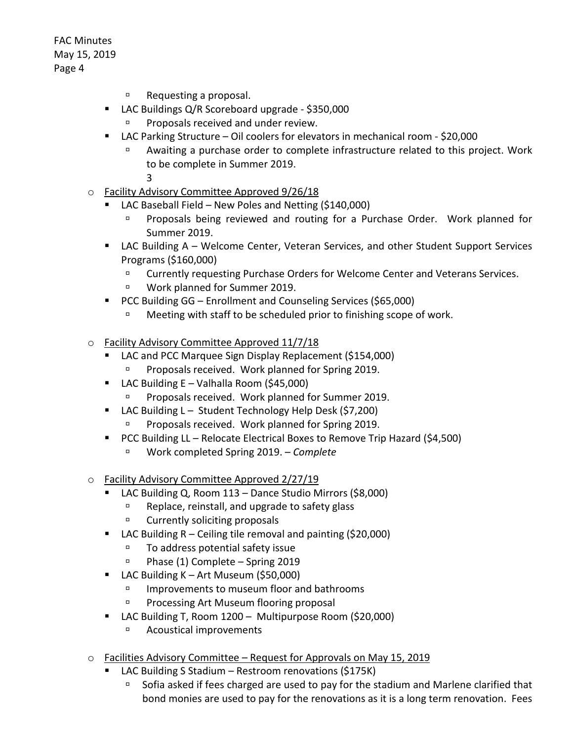- $P^{\Box}$  Requesting a proposal.
- LAC Buildings Q/R Scoreboard upgrade \$350,000
	- Proposals received and under review.
- LAC Parking Structure Oil coolers for elevators in mechanical room \$20,000
	- Awaiting a purchase order to complete infrastructure related to this project. Work to be complete in Summer 2019.

3

- o Facility Advisory Committee Approved 9/26/18
	- LAC Baseball Field New Poles and Netting (\$140,000)
		- **Proposals being reviewed and routing for a Purchase Order. Work planned for** Summer 2019.
	- LAC Building A Welcome Center, Veteran Services, and other Student Support Services Programs (\$160,000)
		- □ Currently requesting Purchase Orders for Welcome Center and Veterans Services.
		- □ Work planned for Summer 2019.
	- PCC Building GG Enrollment and Counseling Services (\$65,000)
		- Meeting with staff to be scheduled prior to finishing scope of work.
- o Facility Advisory Committee Approved 11/7/18
	- LAC and PCC Marquee Sign Display Replacement (\$154,000)
		- Proposals received. Work planned for Spring 2019.
	- **LAC Building E Valhalla Room (\$45,000)** 
		- Proposals received. Work planned for Summer 2019.
	- LAC Building L Student Technology Help Desk (\$7,200)
		- Proposals received. Work planned for Spring 2019.
	- **PCC Building LL Relocate Electrical Boxes to Remove Trip Hazard (\$4,500)** 
		- Work completed Spring 2019. *Complete*
- o Facility Advisory Committee Approved 2/27/19
	- LAC Building Q, Room 113 Dance Studio Mirrors (\$8,000)
		- □ Replace, reinstall, and upgrade to safety glass
		- <sup>D</sup> Currently soliciting proposals
	- LAC Building R Ceiling tile removal and painting (\$20,000)
		- □ To address potential safety issue
		- Phase (1) Complete Spring 2019
	- LAC Building K Art Museum (\$50,000)
		- □ Improvements to museum floor and bathrooms
		- **Processing Art Museum flooring proposal**
	- LAC Building T, Room 1200 Multipurpose Room (\$20,000)
		- Acoustical improvements
- o Facilities Advisory Committee Request for Approvals on May 15, 2019
	- LAC Building S Stadium Restroom renovations (\$175K)
		- $\overline{P}$  Sofia asked if fees charged are used to pay for the stadium and Marlene clarified that bond monies are used to pay for the renovations as it is a long term renovation. Fees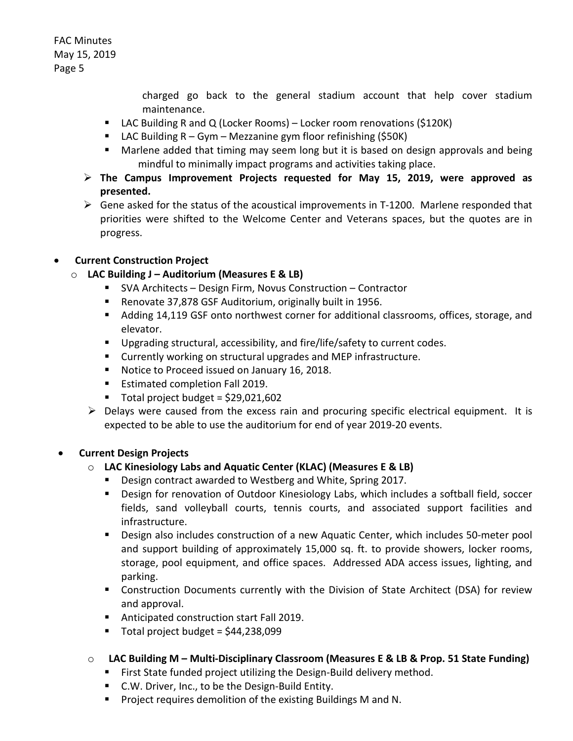> charged go back to the general stadium account that help cover stadium maintenance.

- LAC Building R and Q (Locker Rooms) Locker room renovations (\$120K)
- **LAC Building R Gym Mezzanine gym floor refinishing (\$50K)**
- Marlene added that timing may seem long but it is based on design approvals and being mindful to minimally impact programs and activities taking place.
- **The Campus Improvement Projects requested for May 15, 2019, were approved as presented.**
- $\triangleright$  Gene asked for the status of the acoustical improvements in T-1200. Marlene responded that priorities were shifted to the Welcome Center and Veterans spaces, but the quotes are in progress.

## • **Current Construction Project**

## o **LAC Building J – Auditorium (Measures E & LB)**

- SVA Architects Design Firm, Novus Construction Contractor
- Renovate 37,878 GSF Auditorium, originally built in 1956.
- Adding 14,119 GSF onto northwest corner for additional classrooms, offices, storage, and elevator.
- Upgrading structural, accessibility, and fire/life/safety to current codes.
- Currently working on structural upgrades and MEP infrastructure.
- Notice to Proceed issued on January 16, 2018.
- **Estimated completion Fall 2019.**
- $\blacksquare$  Total project budget = \$29,021,602
- $\triangleright$  Delays were caused from the excess rain and procuring specific electrical equipment. It is expected to be able to use the auditorium for end of year 2019-20 events.

### • **Current Design Projects**

# o **LAC Kinesiology Labs and Aquatic Center (KLAC) (Measures E & LB)**

- **Design contract awarded to Westberg and White, Spring 2017.**
- **Design for renovation of Outdoor Kinesiology Labs, which includes a softball field, soccer** fields, sand volleyball courts, tennis courts, and associated support facilities and infrastructure.
- Design also includes construction of a new Aquatic Center, which includes 50-meter pool and support building of approximately 15,000 sq. ft. to provide showers, locker rooms, storage, pool equipment, and office spaces. Addressed ADA access issues, lighting, and parking.
- Construction Documents currently with the Division of State Architect (DSA) for review and approval.
- **Anticipated construction start Fall 2019.**
- $\blacksquare$  Total project budget = \$44,238,099

# o **LAC Building M – Multi-Disciplinary Classroom (Measures E & LB & Prop. 51 State Funding)**

- **First State funded project utilizing the Design-Build delivery method.**
- C.W. Driver, Inc., to be the Design-Build Entity.
- **Project requires demolition of the existing Buildings M and N.**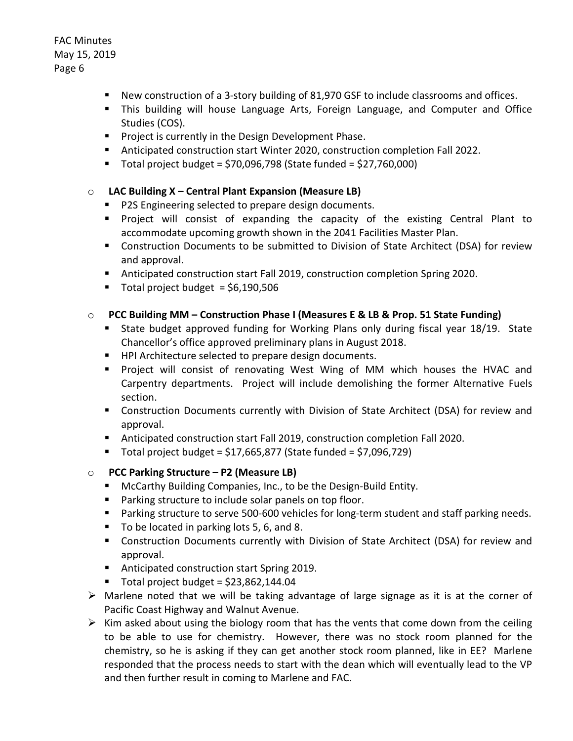- New construction of a 3-story building of 81,970 GSF to include classrooms and offices.
- This building will house Language Arts, Foreign Language, and Computer and Office Studies (COS).
- **Project is currently in the Design Development Phase.**
- Anticipated construction start Winter 2020, construction completion Fall 2022.
- $\blacksquare$  Total project budget = \$70,096,798 (State funded = \$27,760,000)

#### o **LAC Building X – Central Plant Expansion (Measure LB)**

- **P2S Engineering selected to prepare design documents.**
- Project will consist of expanding the capacity of the existing Central Plant to accommodate upcoming growth shown in the 2041 Facilities Master Plan.
- Construction Documents to be submitted to Division of State Architect (DSA) for review and approval.
- Anticipated construction start Fall 2019, construction completion Spring 2020.
- Total project budget  $= $6,190,506$

#### o **PCC Building MM – Construction Phase I (Measures E & LB & Prop. 51 State Funding)**

- State budget approved funding for Working Plans only during fiscal year 18/19. State Chancellor's office approved preliminary plans in August 2018.
- HPI Architecture selected to prepare design documents.
- **Project will consist of renovating West Wing of MM which houses the HVAC and** Carpentry departments. Project will include demolishing the former Alternative Fuels section.
- **EXT** Construction Documents currently with Division of State Architect (DSA) for review and approval.
- Anticipated construction start Fall 2019, construction completion Fall 2020.
- Total project budget = \$17,665,877 (State funded = \$7,096,729)

#### o **PCC Parking Structure – P2 (Measure LB)**

- **McCarthy Building Companies, Inc., to be the Design-Build Entity.**
- **Parking structure to include solar panels on top floor.**
- **Parking structure to serve 500-600 vehicles for long-term student and staff parking needs.**
- To be located in parking lots 5, 6, and 8.
- Construction Documents currently with Division of State Architect (DSA) for review and approval.
- Anticipated construction start Spring 2019.
- Total project budget =  $$23,862,144.04$
- $\triangleright$  Marlene noted that we will be taking advantage of large signage as it is at the corner of Pacific Coast Highway and Walnut Avenue.
- $\triangleright$  Kim asked about using the biology room that has the vents that come down from the ceiling to be able to use for chemistry. However, there was no stock room planned for the chemistry, so he is asking if they can get another stock room planned, like in EE? Marlene responded that the process needs to start with the dean which will eventually lead to the VP and then further result in coming to Marlene and FAC.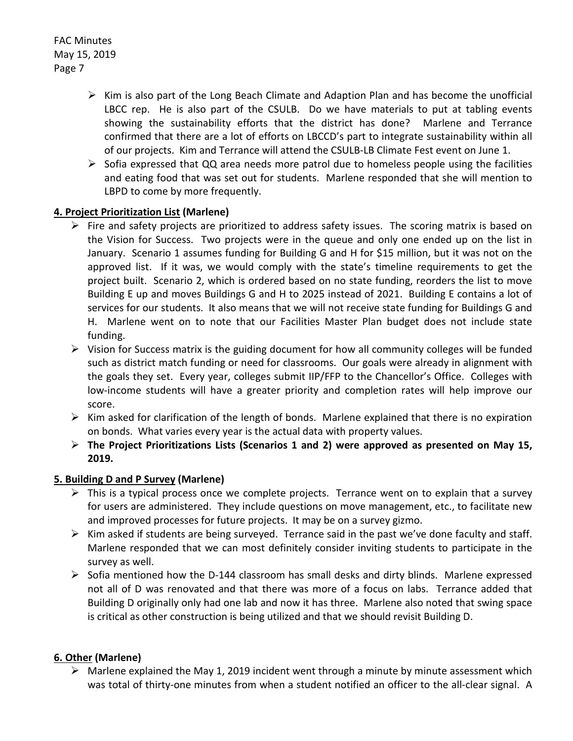- $\triangleright$  Kim is also part of the Long Beach Climate and Adaption Plan and has become the unofficial LBCC rep. He is also part of the CSULB. Do we have materials to put at tabling events showing the sustainability efforts that the district has done? Marlene and Terrance confirmed that there are a lot of efforts on LBCCD's part to integrate sustainability within all of our projects. Kim and Terrance will attend the CSULB-LB Climate Fest event on June 1.
- $\triangleright$  Sofia expressed that QQ area needs more patrol due to homeless people using the facilities and eating food that was set out for students. Marlene responded that she will mention to LBPD to come by more frequently.

### **4. Project Prioritization List (Marlene)**

- $\triangleright$  Fire and safety projects are prioritized to address safety issues. The scoring matrix is based on the Vision for Success. Two projects were in the queue and only one ended up on the list in January. Scenario 1 assumes funding for Building G and H for \$15 million, but it was not on the approved list. If it was, we would comply with the state's timeline requirements to get the project built. Scenario 2, which is ordered based on no state funding, reorders the list to move Building E up and moves Buildings G and H to 2025 instead of 2021. Building E contains a lot of services for our students. It also means that we will not receive state funding for Buildings G and H. Marlene went on to note that our Facilities Master Plan budget does not include state funding.
- $\triangleright$  Vision for Success matrix is the guiding document for how all community colleges will be funded such as district match funding or need for classrooms. Our goals were already in alignment with the goals they set. Every year, colleges submit IIP/FFP to the Chancellor's Office. Colleges with low-income students will have a greater priority and completion rates will help improve our score.
- $\triangleright$  Kim asked for clarification of the length of bonds. Marlene explained that there is no expiration on bonds. What varies every year is the actual data with property values.
- **The Project Prioritizations Lists (Scenarios 1 and 2) were approved as presented on May 15, 2019.**

### **5. Building D and P Survey (Marlene)**

- $\triangleright$  This is a typical process once we complete projects. Terrance went on to explain that a survey for users are administered. They include questions on move management, etc., to facilitate new and improved processes for future projects. It may be on a survey gizmo.
- $\triangleright$  Kim asked if students are being surveyed. Terrance said in the past we've done faculty and staff. Marlene responded that we can most definitely consider inviting students to participate in the survey as well.
- $\triangleright$  Sofia mentioned how the D-144 classroom has small desks and dirty blinds. Marlene expressed not all of D was renovated and that there was more of a focus on labs. Terrance added that Building D originally only had one lab and now it has three. Marlene also noted that swing space is critical as other construction is being utilized and that we should revisit Building D.

### **6. Other (Marlene)**

 $\triangleright$  Marlene explained the May 1, 2019 incident went through a minute by minute assessment which was total of thirty-one minutes from when a student notified an officer to the all-clear signal. A